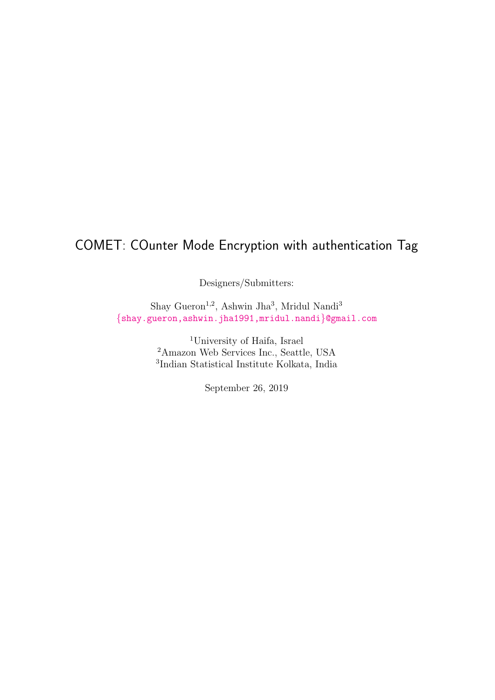# COMET: COunter Mode Encryption with authentication Tag

Designers/Submitters:

Shay Gueron<sup>1,2</sup>, Ashwin Jha<sup>3</sup>, Mridul Nandi<sup>3</sup> {shay.gueron,ashwin.jha1991,mridul.nandi}@gmail.com

> <sup>1</sup>University of Haifa, Israel <sup>2</sup>Amazon Web Services Inc., Seattle, USA 3 [Indian Statistical Institute Kolkata, India](mailto:shay.gueron@gmail.com,ashwin.jha1991@gmail.com,mridul.nandi@gmail.com)

> > <span id="page-0-0"></span>September 26, 2019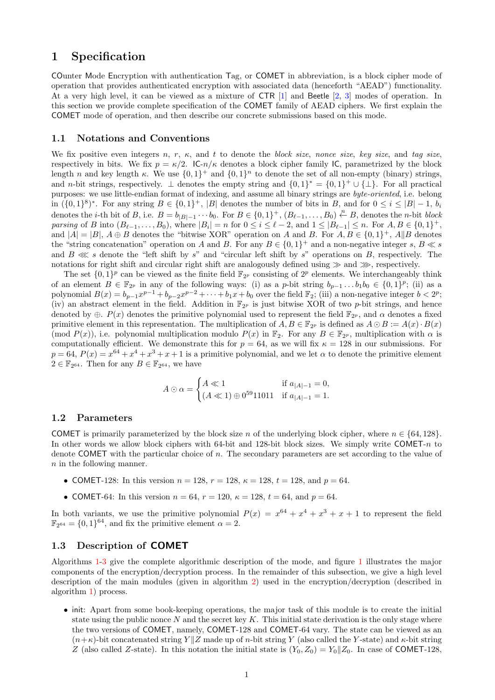# 1 Specification

COunter Mode Encryption with authentication Tag, or COMET in abbreviation, is a block cipher mode of operation that provides authenticated encryption with associated data (henceforth "AEAD") functionality. At a very high level, it can be viewed as a mixture of CTR [1] and Beetle [2, 3] modes of operation. In this section we provide complete specification of the COMET family of AEAD ciphers. We first explain the COMET mode of operation, and then describe our concrete submissions based on this mode.

#### 1.1 Notations and Conventions

We fix positive even integers n, r,  $\kappa$ , and t to denote the block size, nonce size, key size, and tag size, respectively in bits. We fix  $p = \kappa/2$ . IC- $n/\kappa$  denotes a block cipher family IC, parametrized by the block length *n* and key length  $\kappa$ . We use  $\{0,1\}^+$  and  $\{0,1\}^n$  to denote the set of all non-empty (binary) strings, and n-bit strings, respectively.  $\perp$  denotes the empty string and  $\{0,1\}^* = \{0,1\}^+ \cup \{\perp\}$ . For all practical purposes: we use little-endian format of indexing, and assume all binary strings are byte-oriented, i.e. belong in  $({0,1})^8$ <sup>\*</sup>. For any string  $B \in {0,1}^+$ , |B| denotes the number of bits in B, and for  $0 \le i \le |B|-1$ ,  $b_i$ denotes the *i*-th bit of B, i.e.  $B = b_{|B|-1} \cdots b_0$ . For  $B \in \{0,1\}^+$ ,  $(B_{\ell-1},\ldots,B_0) \stackrel{n}{\leftarrow} B$ , denotes the *n*-bit *block* parsing of B into  $(B_{\ell-1},\ldots,B_0)$ , where  $|B_i|=n$  for  $0\leq i\leq \ell-2$ , and  $1\leq |B_{\ell-1}|\leq n$ . For  $A, B\in\{0,1\}^+$ , and  $|A| = |B|$ ,  $A \oplus B$  denotes the "bitwise XOR" operation on A and B. For  $A, B \in \{0, 1\}^+$ ,  $A||B$  denotes the "string concatenation" operation on A and B. For any  $B \in \{0,1\}^+$  and a non-negative integer s,  $B \ll s$ and  $B \ll s$  denote the "left shift by s" and "circular left shift by s" operations on B, respectively. The notations for right shift and circular right shift are analogously defined using <sup>≫</sup> and <sup>≫</sup>, respectively.

The set  $\{0,1\}^p$  can be viewed as the finite field  $\mathbb{F}_{2^p}$  consisting of  $2^p$  elements. We interchangeably think of an element  $B \in \mathbb{F}_{2^p}$  in any of the following ways: (i) as a p-bit string  $b_{p-1} \dots b_1 b_0 \in \{0,1\}^p$ ; (ii) as a polynomial  $B(x) = b_{p-1}x^{p-1} + b_{p-2}x^{p-2} + \cdots + b_1x + b_0$  over the field  $\mathbb{F}_2$ ; (iii) a non-negative integer  $b < 2^p$ ; (iv) an abstract element in the field. Addition in  $\mathbb{F}_{2^p}$  is just bitwise XOR of two p-bit strings, and hence denoted by  $\oplus$ .  $P(x)$  denotes the primitive polynomial used to represent the field  $\mathbb{F}_{2^p}$ , and  $\alpha$  denotes a fixed primitive element in this representation. The multiplication of  $A, B \in \mathbb{F}_{2^p}$  is defined as  $A \odot B := A(x) \cdot B(x)$ (mod  $P(x)$ ), i.e. polynomial multiplication modulo  $P(x)$  in  $\mathbb{F}_2$ . For any  $B \in \mathbb{F}_{2^p}$ , multiplication with  $\alpha$  is computationally efficient. We demonstrate this for  $p = 64$ , as we will fix  $\kappa = 128$  in our submissions. For  $p = 64$ ,  $P(x) = x^{64} + x^4 + x^3 + x + 1$  is a primitive polynomial, and we let  $\alpha$  to denote the primitive element  $2 \in \mathbb{F}_{2^{64}}$ . Then for any  $B \in \mathbb{F}_{2^{64}}$ , we have

$$
A \odot \alpha = \begin{cases} A \ll 1 & \text{if } a_{|A|-1} = 0, \\ (A \ll 1) \oplus 0^{59} 11011 & \text{if } a_{|A|-1} = 1. \end{cases}
$$

#### 1.2 Parameters

COMET is primarily parameterized by the block size n of the underlying block cipher, where  $n \in \{64, 128\}$ . In other words we allow block ciphers with 64-bit and 128-bit block sizes. We simply write COMET- $n$  to denote COMET with the particular choice of n. The secondary parameters are set according to the value of n in the following manner.

- COMET-128: In this version  $n = 128$ ,  $r = 128$ ,  $\kappa = 128$ ,  $t = 128$ , and  $p = 64$ .
- COMET-64: In this version  $n = 64$ ,  $r = 120$ ,  $\kappa = 128$ ,  $t = 64$ , and  $p = 64$ .

In both variants, we use the primitive polynomial  $P(x) = x^{64} + x^4 + x^3 + x + 1$  to represent the field  $\mathbb{F}_{2^{64}} = \{0, 1\}^{64}$ , and fix the primitive element  $\alpha = 2$ .

#### 1.3 Description of COMET

Algorithms 1-3 give the complete algorithmic description of the mode, and figure 1 illustrates the major components of the encryption/decryption process. In the remainder of this subsection, we give a high level description of the main modules (given in algorithm 2) used in the encryption/decryption (described in algorithm 1) process.

• init: [Ap](#page-2-0)[ar](#page-4-0)t from some book-keeping operations, the major task of this modul[e i](#page-5-0)s to create the initial state using the public nonce  $N$  and the secret key  $K$ . This initial state derivation is the only stage where the [tw](#page-2-0)o versions of COMET, namely, COMET-128 and COMET-64 vary. The state can be viewed as an  $(n+\kappa)$ -bit concatenated string Y  $\|Z\|$  made up of n-bit string Y (also called the Y-state) and  $\kappa$ -bit string Z (also called Z-state). In this notation the initial state is  $(Y_0, Z_0) = Y_0||Z_0$ . In case of COMET-128,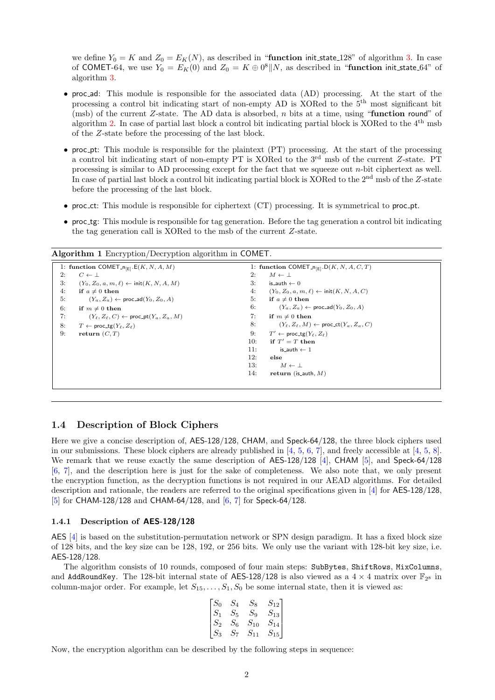we define  $Y_0 = K$  and  $Z_0 = E_K(N)$ , as described in "**function** init\_state\_128" of algorithm 3. In case of COMET-64, we use  $Y_0 = E_K(0)$  and  $Z_0 = K \oplus 0^8 || N$ , as described in "function init\_state\_64" of algorithm 3.

- proc ad: This module is responsible for the associated data (AD) processing. At the start of the processing a control bit indicating start of non-empty AD is XORed to the 5th most sig[nifi](#page-4-0)cant bit (msb) of the current Z-state. The AD data is absorbed, n bits at a time, using "**function round**" of algorithm [2.](#page-4-0) In case of partial last block a control bit indicating partial block is XORed to the 4th msb of the Z-state before the processing of the last block.
- proc\_pt: This module is responsible for the plaintext (PT) processing. At the start of the processing a control bit indicating start of non-empty PT is XORed to the 3rd msb of the current Z-state. PT processin[g is](#page-3-0) similar to AD processing except for the fact that we squeeze out  $n$ -bit ciphertext as well. In case of partial last block a control bit indicating partial block is XORed to the  $2<sup>nd</sup>$  msb of the Z-state before the processing of the last block.
- proc\_ct: This module is responsible for ciphertext (CT) processing. It is symmetrical to proc\_pt.
- proc tg: This module is responsible for tag generation. Before the tag generation a control bit indicating the tag generation call is XORed to the msb of the current Z-state.

<span id="page-2-0"></span>

| 1: function COMET <sub>-n<sub>[E]</sub>.E(K, N, A, M)</sub>       | 1: function COMET <sub>-n<sub>[E]</sub>.D(K, N, A, C, T)</sub>    |
|-------------------------------------------------------------------|-------------------------------------------------------------------|
| 2:                                                                | 2:                                                                |
| $C \leftarrow \perp$                                              | $M \leftarrow \perp$                                              |
| 3:                                                                | 3:                                                                |
| $(Y_0, Z_0, a, m, \ell) \leftarrow \text{init}(K, N, A, M)$       | is_auth $\leftarrow$ 0                                            |
| 4:                                                                | 4:                                                                |
| if $a \neq 0$ then                                                | $(Y_0, Z_0, a, m, \ell) \leftarrow \text{init}(K, N, A, C)$       |
| 5:                                                                | 5:                                                                |
| $(Y_a, Z_a) \leftarrow \text{proc\_ad}(Y_0, Z_0, A)$              | if $a \neq 0$ then                                                |
| 6:                                                                | 6:                                                                |
| if $m \neq 0$ then                                                | $(Y_a, Z_a) \leftarrow \text{proc\_ad}(Y_0, Z_0, A)$              |
| 7:                                                                | 7:                                                                |
| $(Y_{\ell}, Z_{\ell}, C) \leftarrow \text{proc\_pt}(Y_a, Z_a, M)$ | if $m \neq 0$ then                                                |
| 8:                                                                | 8:                                                                |
| $T \leftarrow \text{proc\_tg}(Y_{\ell}, Z_{\ell})$                | $(Y_{\ell}, Z_{\ell}, M) \leftarrow \text{proc\_ct}(Y_a, Z_a, C)$ |
| 9:                                                                | 9:                                                                |
| return $(C, T)$                                                   | $T' \leftarrow \text{proc\_tg}(Y_{\ell}, Z_{\ell})$               |
|                                                                   | if $T' = T$ then<br>10:                                           |
|                                                                   | 11:<br>is_auth $\leftarrow$ 1                                     |
|                                                                   | 12:<br>else                                                       |
|                                                                   | 13:<br>$M \leftarrow \perp$                                       |
|                                                                   | 14:<br>return (is_auth, $M$ )                                     |

Algorithm 1 Encryption/Decryption algorithm in COMET.

#### 1.4 Description of Block Ciphers

Here we give a concise description of, AES-128/128, CHAM, and Speck-64/128, the three block ciphers used in our submissions. These block ciphers are already published in  $[4, 5, 6, 7]$ , and freely accessible at  $[4, 5, 8]$ . We remark that we reuse exactly the same description of AES-128/128 [4], CHAM [5], and Speck-64/128 [6, 7], and the description here is just for the sake of completeness. We also note that, we only present the encryption function, as the decryption functions is not required in our AEAD algorithms. For detailed description and rationale, the readers are referred to the original [sp](#page-13-0)[ec](#page-13-1)i[fic](#page-13-2)[ati](#page-13-3)ons given in [4] for AES-[128](#page-13-0)[/1](#page-13-1)[28](#page-13-4), [5] for CHAM-128/128 and CHAM-64/128, and [6, 7] for Speck-64/128.

#### 1.4.1 Description of AES-128/128

[AE](#page-13-1)S [4] is based on the substitution-permutatio[n](#page-13-2) [net](#page-13-3)work or SPN design paradigm. It [has](#page-13-0) a fixed block size of 128 bits, and the key size can be 128, 192, or 256 bits. We only use the variant with 128-bit key size, i.e. AES-128/128.

The algorithm consists of 10 rounds, composed of four main steps: SubBytes, ShiftRows, MixColumns, and [Ad](#page-13-0)dRoundKey. The 128-bit internal state of AES-128/128 is also viewed as a  $4 \times 4$  matrix over  $\mathbb{F}_{2^8}$  in column-major order. For example, let  $S_{15}, \ldots, S_1, S_0$  be some internal state, then it is viewed as:

$$
\begin{bmatrix}\nS_0 & S_4 & S_8 & S_{12} \\
S_1 & S_5 & S_9 & S_{13} \\
S_2 & S_6 & S_{10} & S_{14} \\
S_3 & S_7 & S_{11} & S_{15}\n\end{bmatrix}
$$

Now, the encryption algorithm can be described by the following steps in sequence: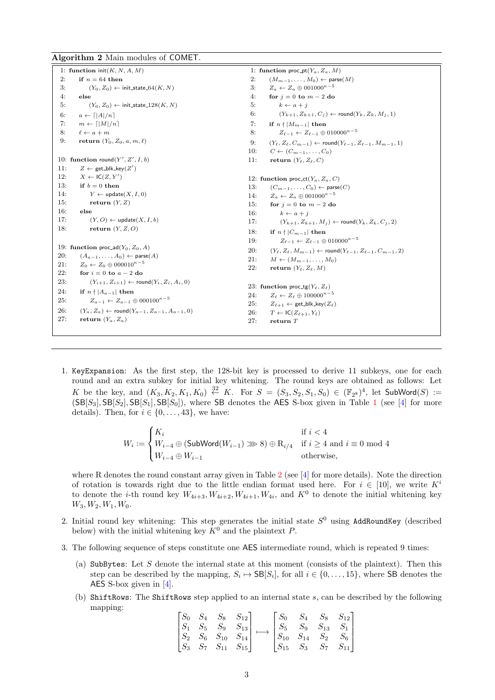Algorithm 2 Main modules of COMET.

<span id="page-3-0"></span>1: function  $init(K, N, A, M)$ 2: if  $n = 64$  then 3:  $(Y_0, Z_0) \leftarrow \text{init\_state\_64}(K, N)$ 4: else 5:  $(Y_0, Z_0) \leftarrow \text{init\_state\_128}(K, N)$ 6:  $a \leftarrow \lceil |A|/n \rceil$ 7:  $m \leftarrow \lceil |M|/n \rceil$ 8:  $\ell \leftarrow a + m$ 9: return  $(Y_0, Z_0, a, m, \ell)$ 10: function round $(Y', Z', I, b)$ 11:  $Z \leftarrow \text{get\_blk\_key}(Z')$ 12:  $X \leftarrow \mathsf{IC}(Z, Y')$ 13: if  $b = 0$  then 14:  $Y \leftarrow \text{update}(X, I, 0)$ 15: return  $(Y, Z)$ 16: else 17:  $(Y, O) \leftarrow \text{update}(X, I, b)$ 18: return  $(Y, Z, O)$ 19: function proc\_ad( $Y_0$ ,  $Z_0$ , A) 20:  $(A_{a-1}, \ldots, A_0) \leftarrow \text{parse}(A)$ 21:  $Z_0 \leftarrow Z_0 \oplus 000010^{\kappa-5}$ 22: for  $i = 0$  to  $a - 2$  do 23:  $(Y_{i+1}, Z_{i+1}) \leftarrow \text{round}(Y_i, Z_i, A_i, 0)$ 24: if  $n \nmid |A_{a-1}|$  then 25:  $Z_{a-1} \leftarrow Z_{a-1} \oplus 000100^{\kappa-5}$ 26:  $(Y_a, Z_a) \leftarrow \text{round}(Y_{a-1}, Z_{a-1}, A_{a-1}, 0)$ 27: return  $(Y_a, Z_a)$ 1: function proc\_pt( $Y_a, Z_a, M$ ) 2:  $(M_{m-1}, \ldots, M_0) \leftarrow \text{parse}(M)$ 3:  $Z_a \leftarrow Z_a \oplus 001000^{\kappa-5}$ 4: for  $j = 0$  to  $m - 2$  do 5:  $k \leftarrow a + j$ 6:  $(Y_{k+1}, Z_{k+1}, C_j) \leftarrow \text{round}(Y_k, Z_k, M_j, 1)$ 7: if  $n \nmid |M_{m-1}|$  then 8:  $Z_{\ell-1} \leftarrow Z_{\ell-1} \oplus 010000^{\kappa-5}$ 9:  $(Y_{\ell}, Z_{\ell}, C_{m-1}) \leftarrow \text{round}(Y_{\ell-1}, Z_{\ell-1}, M_{m-1}, 1)$ 10:  $C \leftarrow (C_{m-1}, \ldots, C_0)$ 11: return  $(Y_{\ell}, Z_{\ell}, C)$ 12: function proc\_ct( $Y_a, Z_a, C$ ) 13:  $(C_{m-1}, \ldots, C_0) \leftarrow \text{parse}(C)$ 14:  $Z_a \leftarrow Z_a \oplus 001000^{\kappa-5}$ 15: for  $j = 0$  to  $m - 2$  do 16:  $k \leftarrow a + j$ 17:  $(Y_{k+1}, Z_{k+1}, M_j) \leftarrow \text{round}(Y_k, Z_k, C_j, 2)$ 18: if  $n \nmid |C_{m-1}|$  then 19:  $Z_{\ell-1} \leftarrow Z_{\ell-1} \oplus 010000^{\kappa-5}$ 20:  $(Y_{\ell}, Z_{\ell}, M_{m-1})$  ← round $(Y_{\ell-1}, Z_{\ell-1}, C_{m-1}, 2)$ 21:  $M \leftarrow (M_{m-1}, \ldots, M_0)$ 22: return  $(Y_{\ell}, Z_{\ell}, M)$ 23: function proc\_tg( $Y_{\ell}, Z_{\ell}$ ) 24:  $Z_{\ell} \leftarrow Z_{\ell} \oplus 100000^{\kappa-5}$ 25:  $Z_{\ell+1} \leftarrow$  get\_blk\_key $(Z_{\ell})$ 26:  $T \leftarrow \mathsf{IC}(Z_{\ell+1}, Y_{\ell})$ 27: return T

1. KeyExpansion: As the first step, the 128-bit key is processed to derive 11 subkeys, one for each round and an extra subkey for initial key whitening. The round keys are obtained as follows: Let K be the key, and  $(K_3, K_2, K_1, K_0) \stackrel{32}{\leftarrow} K$ . For  $S = (S_3, S_2, S_1, S_0) \in (\mathbb{F}_2)^4$ , let SubWord $(S) :=$  $(SB[S_3], SB[S_1], SB[S_0])$ , where SB denotes the AES S-box given in Table 1 (see [4] for more details). Then, for  $i \in \{0, \ldots, 43\}$ , we have:

$$
W_i := \begin{cases} K_i & \text{if } i < 4\\ W_{i-4} \oplus (\text{SubWord}(W_{i-1}) \ggg 8) \oplus \mathrm{R}_{i/4} & \text{if } i \ge 4 \text{ and } i \equiv 0 \text{ mod } 4\\ W_{i-4} \oplus W_{i-1} & \text{otherwise,} \end{cases}
$$

where R denotes the round constant array given in Table 2 (see  $[4]$  for more details). Note the direction of rotation is towards right due to the little endian format used here. For  $i \in [10]$ , we write K<sup>i</sup> to denote the *i*-th round key  $W_{4i+3}, W_{4i+2}, W_{4i+1}, W_{4i}$ , and  $K^0$  to denote the initial whitening key  $W_3, W_2, W_1, W_0.$ 

- 2. I[nit](#page-6-1)ial round key whitening: This step generates the initial s[tat](#page-13-0)e  $S^0$  using AddRoundKey (described below) with the initial whitening key  $K^0$  and the plaintext P.
- 3. The following sequence of steps constitute one AES intermediate round, which is repeated 9 times:
	- (a) SubBytes: Let S denote the internal state at this moment (consists of the plaintext). Then this step can be described by the mapping,  $S_i \mapsto \mathsf{SB}[S_i]$ , for all  $i \in \{0, \ldots, 15\}$ , where SB denotes the AES S-box given in [4].
	- (b) ShiftRows: The ShiftRows step applied to an internal state s, can be described by the following mapping:

$$
\begin{bmatrix} S_0 & S_4 & S_8 & S_{12} \\ S_1 & S_5 & S_9 & S_{13} \\ S_2 & S_6 & S_{10} & S_{14} \\ S_3 & S_7 & S_{11} & S_{15} \end{bmatrix} \longmapsto \begin{bmatrix} S_0 & S_4 & S_8 & S_{12} \\ S_5 & S_9 & S_{13} & S_1 \\ S_{10} & S_{14} & S_2 & S_6 \\ S_{15} & S_3 & S_7 & S_{11} \end{bmatrix}
$$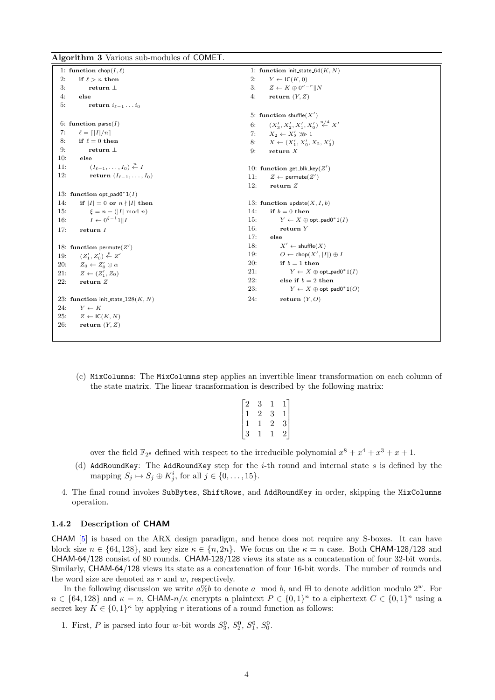Algorithm 3 Various sub-modules of COMET.

```
1: function chop(I, \ell)2: if \ell > n then
3: return ⊥
4: else
5: return i_{\ell-1} \ldots i_06: function parse(I)7: \ell = \lceil |I|/n \rceil8: if \ell = 0 then
9: return ⊥
10: else
11: (I_{\ell-1},...,I_0) \stackrel{n}{\leftarrow} I12: return (I_{\ell-1}, \ldots, I_0)13: function opt_pad0^*1(I)14: if |I| = 0 or n \nmid |I| then
15: \xi = n - (|I| \mod n)16: I \leftarrow 0^{\xi - 1} 1 || I17: return I
18: function permute(Z')19: (Z'_1, Z'_0) \stackrel{p}{\leftarrow} Z'20: Z_0 \leftarrow Z'_0 \odot \alpha21: Z \leftarrow (Z'_1, Z_0)22: return Z
23: function init_state_128(K, N)24: Y \leftarrow K25: Z \leftarrow \mathsf{IC}(K, N)26: return (Y, Z)1: function init_state_64(K, N)2: Y \leftarrow \mathsf{IC}(K,0)3: Z \leftarrow K \oplus 0^{\kappa - r} || N4: return (Y, Z)5: function shuffle(X')6: (X'_3, X'_2, X'_1, X'_0) \stackrel{n/4}{\leftarrow} X'7: X_2 \leftarrow X_2' \ggg 18: X \leftarrow (X'_1, X'_0, X_2, X'_3)9: return X
                                                                          10: function get_blk_key(Z')
                                                                          11: Z \leftarrow \text{permute}(Z')12: return Z
                                                                         13: function update(X, I, b)14: if b = 0 then
                                                                          15: Y \leftarrow X \oplus \mathsf{opt\_pad0}^*1(I)16: return Y
                                                                         17: else
                                                                         18: X' \leftarrow \text{shuffle}(X)19: O \leftarrow \mathsf{chop}(X', |I|) \oplus I20: if b = 1 then
                                                                          21: Y \leftarrow X \oplus \mathsf{opt\_pad0}^*1(I)22: else if b = 2 then
                                                                          23: Y \leftarrow X \oplus \mathsf{opt\_pad0}^*1(O)24: return (Y, O)
```
(c) MixColumns: The MixColumns step applies an invertible linear transformation on each column of the state matrix. The linear transformation is described by the following matrix:

| $\vert 2 \vert$                                                          | 3              |                | $\mathbf 1$   |
|--------------------------------------------------------------------------|----------------|----------------|---------------|
|                                                                          | $\overline{2}$ | 3              |               |
| $\begin{array}{ c } \hline 1 \ \hline 1 \ \hline 3 \ \hline \end{array}$ |                | $\overline{2}$ | $\frac{1}{3}$ |
|                                                                          |                |                |               |

over the field  $\mathbb{F}_{2^8}$  defined with respect to the irreducible polynomial  $x^8 + x^4 + x^3 + x + 1$ .

- (d) AddRoundKey: The AddRoundKey step for the i-th round and internal state s is defined by the mapping  $S_j \mapsto S_j \oplus K_j^i$ , for all  $j \in \{0, \ldots, 15\}$ .
- 4. The final round invokes SubBytes, ShiftRows, and AddRoundKey in order, skipping the MixColumns operation.

#### 1.4.2 Description of CHAM

CHAM [5] is based on the ARX design paradigm, and hence does not require any S-boxes. It can have block size  $n \in \{64, 128\}$ , and key size  $\kappa \in \{n, 2n\}$ . We focus on the  $\kappa = n$  case. Both CHAM-128/128 and CHAM-64/128 consist of 80 rounds. CHAM-128/128 views its state as a concatenation of four 32-bit words. Similarly, CHAM-64/128 views its state as a concatenation of four 16-bit words. The number of rounds and the wor[d s](#page-13-1)ize are denoted as  $r$  and  $w$ , respectively.

In the following discussion we write  $a\%b$  to denote a mod b, and  $\boxplus$  to denote addition modulo  $2^w$ . For  $n \in \{64, 128\}$  and  $\kappa = n$ , CHAM- $n/\kappa$  encrypts a plaintext  $P \in \{0, 1\}^n$  to a ciphertext  $C \in \{0, 1\}^n$  using a secret key  $K \in \{0,1\}^{\kappa}$  by applying r iterations of a round function as follows:

1. First, P is parsed into four w-bit words  $S_3^0$ ,  $S_2^0$ ,  $S_1^0$ ,  $S_0^0$ .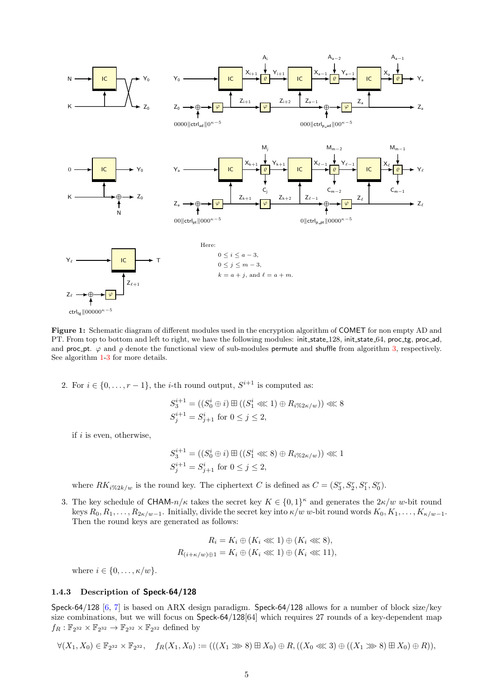<span id="page-5-0"></span>

Figure 1: Schematic diagram of different modules used in the encryption algorithm of COMET for non empty AD and PT. From top to bottom and left to right, we have the following modules: init\_state\_128, init\_state\_64, proc\_tg, proc\_ad, and proc pt.  $\varphi$  and  $\varrho$  denote the functional view of sub-modules permute and shuffle from algorithm 3, respectively. See algorithm 1-3 for more details.

2. For  $i \in \{0, \ldots, r-1\}$ , the *i*-th round output,  $S^{i+1}$  is computed as:

$$
S_3^{i+1} = ((S_0^i \oplus i) \boxplus ((S_1^i \lll 1) \oplus R_{i\%2\kappa/w})) \lll 8
$$
  

$$
S_j^{i+1} = S_{j+1}^i \text{ for } 0 \leq j \leq 2,
$$

if  $i$  is even, otherwise,

$$
S_3^{i+1} = ((S_0^i \oplus i) \boxplus ((S_1^i \ll 8) \oplus R_{i\%2\kappa/w})) \ll 1
$$
  

$$
S_j^{i+1} = S_{j+1}^i \text{ for } 0 \le j \le 2,
$$

where  $RK_{i\%2k/w}$  is the round key. The ciphertext C is defined as  $C = (S_3^r, S_2^r, S_1^r, S_0^r)$ .

3. The key schedule of CHAM- $n/\kappa$  takes the secret key  $K \in \{0,1\}^{\kappa}$  and generates the  $2\kappa/w$  w-bit round keys  $R_0, R_1, \ldots, R_{2\kappa/w-1}$ . Initially, divide the secret key into  $\kappa/w$  w-bit round words  $K_0, K_1, \ldots, K_{\kappa/w-1}$ . Then the round keys are generated as follows:

$$
R_i = K_i \oplus (K_i \lll 1) \oplus (K_i \lll 8),
$$
  

$$
R_{(i+\kappa/w)\oplus 1} = K_i \oplus (K_i \lll 1) \oplus (K_i \lll 11),
$$

where  $i \in \{0, \ldots, \kappa/w\}.$ 

#### 1.4.3 Description of Speck-64/128

Speck-64/128 [6, 7] is based on ARX design paradigm. Speck-64/128 allows for a number of block size/key size combinations, but we will focus on Speck-64/128[64] which requires 27 rounds of a key-dependent map  $f_R: \mathbb{F}_{2^{32}} \times \mathbb{F}_{2^{32}} \to \mathbb{F}_{2^{32}} \times \mathbb{F}_{2^{32}}$  defined by

 $\forall (X_1, X_0) \in \mathbb{F}_{2^{32}} \times \mathbb{F}_{2^{32}}, \quad f_R(X_1, X_0) := (((X_1 \ggg 8) \boxplus X_0) \oplus R, ((X_0 \llg 3) \oplus ((X_1 \ggg 8) \boxplus X_0) \oplus R)),$  $\forall (X_1, X_0) \in \mathbb{F}_{2^{32}} \times \mathbb{F}_{2^{32}}, \quad f_R(X_1, X_0) := (((X_1 \ggg 8) \boxplus X_0) \oplus R, ((X_0 \llg 3) \oplus ((X_1 \ggg 8) \boxplus X_0) \oplus R)),$  $\forall (X_1, X_0) \in \mathbb{F}_{2^{32}} \times \mathbb{F}_{2^{32}}, \quad f_R(X_1, X_0) := (((X_1 \ggg 8) \boxplus X_0) \oplus R, ((X_0 \llg 3) \oplus ((X_1 \ggg 8) \boxplus X_0) \oplus R)),$  $\forall (X_1, X_0) \in \mathbb{F}_{2^{32}} \times \mathbb{F}_{2^{32}}, \quad f_R(X_1, X_0) := (((X_1 \ggg 8) \boxplus X_0) \oplus R, ((X_0 \llg 3) \oplus ((X_1 \ggg 8) \boxplus X_0) \oplus R)),$  $\forall (X_1, X_0) \in \mathbb{F}_{2^{32}} \times \mathbb{F}_{2^{32}}, \quad f_R(X_1, X_0) := (((X_1 \ggg 8) \boxplus X_0) \oplus R, ((X_0 \llg 3) \oplus ((X_1 \ggg 8) \boxplus X_0) \oplus R)),$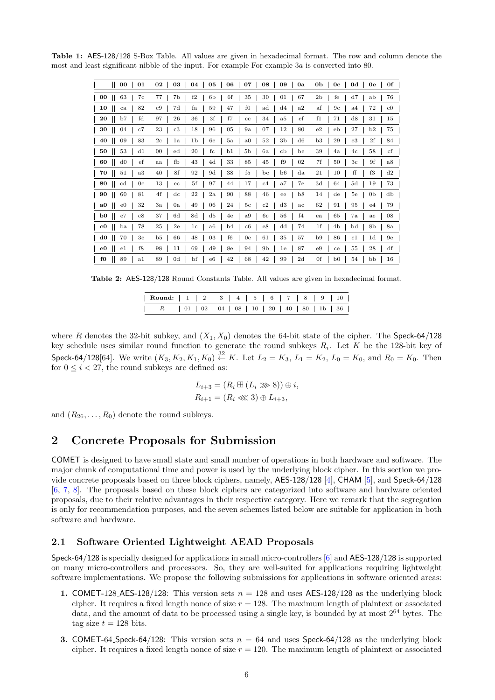<span id="page-6-0"></span>Table 1: AES-128/128 S-Box Table. All values are given in hexadecimal format. The row and column denote the most and least significant nibble of the input. For example For example 3a is converted into 80.

| 02<br>00<br>01                                    | 03<br>05<br>04                         | 07<br>08<br>06<br>09<br>0a                      | 0f<br>0 <sub>b</sub><br>0d<br>0c<br>0e            |
|---------------------------------------------------|----------------------------------------|-------------------------------------------------|---------------------------------------------------|
| 63<br>77<br>  00<br>7c                            | f2<br>7b<br>6b                         | 6f<br>35<br>30<br>67<br>01                      | 76<br>2 <sub>b</sub><br>fe<br>d7<br>ab            |
| 82<br>c9<br><b>10</b><br>ca                       | 7d<br>fa<br>59                         | $f_{0}$<br>47<br>d4<br>$_{\rm ad}$<br>a2        | 72<br>$_{\rm c0}$<br>$_{\mathrm{af}}$<br>9c<br>a4 |
| $_{\rm fd}$<br>20<br>b7<br>97                     | 36<br>26<br>3f                         | f7<br>34<br>ef<br>a5<br>$_{\rm cc}$             | d8<br>31<br>15<br>f1<br>71                        |
| - 30<br>23<br>04<br>c7                            | $_{c3}$<br>18<br>96                    | 07<br>12<br>05<br>9a<br>80                      | 27<br>75<br>e2<br>b2<br>eb                        |
| 83<br>$_{2c}$<br>09<br>- 40                       | 1 <sub>b</sub><br>1a<br>6e             | 52<br>3b<br>a <sub>0</sub><br>d6<br>5a          | e3<br>2f<br>b3<br>29<br>84                        |
| 53<br>- 50<br>d1<br>$^{00}$                       | 20<br>$_{\rm fc}$<br>$_{\rm ed}$       | 5 <sub>b</sub><br>b1<br>6a<br>cb<br>be          | $_{\rm cf}$<br>58<br>39<br>4a<br>4c               |
| $_{\rm ef}$<br>$\vert$ 60<br>d0<br>aa             | fb<br>43<br>4d                         | 33<br>85<br>45<br>f9<br>02                      | 9f<br>7f<br>3 <sub>c</sub><br>a8<br>50            |
| 70<br>a3<br>51<br>40                              | 8f<br>92<br>9d                         | 38<br>f <sub>5</sub><br>b6<br>bc<br>$_{\rm da}$ | ff<br>f3<br>d2<br>21<br>10                        |
| - 80<br>13<br>0 <sub>c</sub><br>cd                | 5f<br>97<br>ec                         | 17<br>44<br>a7<br>7e<br>c4                      | 5d<br>73<br>3d<br>19<br>64                        |
| 4f<br>60<br>81<br>- 90                            | 22<br>$_{\rm dc}$<br>$_{2a}$           | 88<br>46<br>90<br>b8<br>ee                      | db<br>0 <sub>b</sub><br>14<br>5e<br>$_{\rm de}$   |
| 32<br>3a<br>$_{\rm e0}$<br>  a0                   | 49<br>06<br>0a                         | d3<br>5 <sub>c</sub><br>c2<br>24<br>ac          | 95<br>79<br>62<br>91<br>e4                        |
| 37<br>$\vert$ b <sub>0</sub><br>$_{\rm e7}$<br>c8 | 8d<br>d5<br>6d                         | f4<br>a9<br>6c<br>56<br>4e                      | 7a<br>08<br>65<br>ae<br>ea                        |
| $\sim$ c0<br>78<br>25<br>ba                       | 2e<br>1c<br>a6                         | $_{\rm c6}$<br>e8<br>74<br>dd<br>b4             | 8 <sub>b</sub><br>1f<br>4b<br>8a<br>bd            |
| $\vert$ d <sub>0</sub><br>70<br>3e<br>b5          | 48<br>66<br>03                         | f6<br>61<br>35<br>57<br>0e                      | 9e<br>86<br>1 <sub>d</sub><br>b9<br>c1            |
| f8<br>98<br>$\vert$ e0<br>$_{\rm e1}$             | 11<br>69<br>d9                         | 9 <sub>b</sub><br>8e<br>94<br>87<br>1e          | df<br>55<br>28<br>e9<br>ce                        |
| $f_0$<br>89<br>89<br>$_{\rm a1}$                  | bf<br>0 <sub>d</sub><br>e <sub>6</sub> | 68<br>42<br>42<br>99<br>2d                      | 0f<br>16<br>54<br>bb<br>b <sub>0</sub>            |

Table 2: AES-128/128 Round Constants Table. All values are given in hexadecimal format.

| Round:   1   2   3   4   5   6   7   8   9   10 |  |  |  |  |  |  |  |  |  |  |  |
|-------------------------------------------------|--|--|--|--|--|--|--|--|--|--|--|
|                                                 |  |  |  |  |  |  |  |  |  |  |  |

<span id="page-6-1"></span>where R denotes the 32-bit subkey, and  $(X_1, X_0)$  denotes the 64-bit state of the cipher. The Speck-64/128 key schedule uses similar round function to generate the round subkeys  $R_i$ . Let K be the 128-bit key of Speck-64/128[64]. We write  $(K_3, K_2, K_1, K_0) \stackrel{32}{\leftarrow} K$ . Let  $L_2 = K_3$ ,  $L_1 = K_2$ ,  $L_0 = K_0$ , and  $R_0 = K_0$ . Then for  $0 \le i \le 27$ , the round subkeys are defined as:

$$
L_{i+3} = (R_i \boxplus (L_i \ggg 8)) \oplus i,
$$
  

$$
R_{i+1} = (R_i \llg 3) \oplus L_{i+3},
$$

and  $(R_{26}, \ldots, R_0)$  denote the round subkeys.

# 2 Concrete Proposals for Submission

COMET is designed to have small state and small number of operations in both hardware and software. The major chunk of computational time and power is used by the underlying block cipher. In this section we provide concrete proposals based on three block ciphers, namely, AES-128/128 [4], CHAM [5], and Speck-64/128 [6, 7, 8]. The proposals based on these block ciphers are categorized into software and hardware oriented proposals, due to their relative advantages in their respective category. Here we remark that the segregation is only for recommendation purposes, and the seven schemes listed below are suitable for application in both software and hardware.

### 2.1 Software Oriented Lightweight AEAD Proposals

Speck-64/128 is specially designed for applications in small micro-controllers [6] and AES-128/128 is supported on many micro-controllers and processors. So, they are well-suited for applications requiring lightweight software implementations. We propose the following submissions for applications in software oriented areas:

- 1. COMET-128\_AES-128/128: This version sets  $n = 128$  and uses AES-128/128 as the underlying block cipher. It requires a fixed [le](#page-13-2)ngth nonce of size  $r = 128$ . The maximum length of plaintext or associated data, and the amount of data to be processed using a single key, is bounded by at most  $2^{64}$  bytes. The tag size  $t = 128$  bits.
- **3. COMET-64\_Speck-64/128:** This version sets  $n = 64$  and uses Speck-64/128 as the underlying block cipher. It requires a fixed length nonce of size  $r = 120$ . The maximum length of plaintext or associated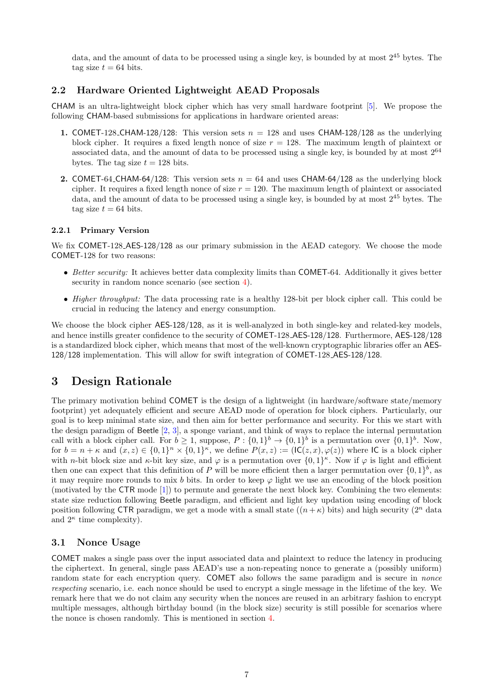data, and the amount of data to be processed using a single key, is bounded by at most  $2^{45}$  bytes. The tag size  $t = 64$  bits.

### 2.2 Hardware Oriented Lightweight AEAD Proposals

CHAM is an ultra-lightweight block cipher which has very small hardware footprint [5]. We propose the following CHAM-based submissions for applications in hardware oriented areas:

- 1. COMET-128 CHAM-128/128: This version sets  $n = 128$  and uses CHAM-128/128 as the underlying block cipher. It requires a fixed l[eng](#page-13-1)th nonce of size  $r = 128$ . The maximum length of plaintext or associated data, and the amount of data to be processed using a single key, is bounded by at most  $2^{64}$ bytes. The tag size  $t = 128$  bits.
- 2. COMET-64 CHAM-64/128: This version sets  $n = 64$  and uses CHAM-64/128 as the underlying block cipher. It requires a fixed length nonce of size  $r = 120$ . The maximum length of plaintext or associated data, and the amount of data to be processed using a single key, is bounded by at most  $2^{45}$  bytes. The tag size  $t = 64$  bits.

#### 2.2.1 Primary Version

We fix COMET-128\_AES-128/128 as our primary submission in the AEAD category. We choose the mode COMET-128 for two reasons:

- Better security: It achieves better data complexity limits than COMET-64. Additionally it gives better security in random nonce scenario (see section 4).
- Higher throughput: The data processing rate is a healthy 128-bit per block cipher call. This could be crucial in reducing the latency and energy consumption.

We choose the block cipher AES-128/128, as it is w[ell](#page-9-0)-analyzed in both single-key and related-key models, and hence instills greater confidence to the security of COMET-128 AES-128/128. Furthermore, AES-128/128 is a standardized block cipher, which means that most of the well-known cryptographic libraries offer an AES-128/128 implementation. This will allow for swift integration of COMET-128 AES-128/128.

# 3 Design Rationale

The primary motivation behind COMET is the design of a lightweight (in hardware/software state/memory footprint) yet adequately efficient and secure AEAD mode of operation for block ciphers. Particularly, our goal is to keep minimal state size, and then aim for better performance and security. For this we start with the design paradigm of Beetle [2, 3], a sponge variant, and think of ways to replace the internal permutation call with a block cipher call. For  $b \ge 1$ , suppose,  $P: \{0,1\}^b \to \{0,1\}^b$  is a permutation over  $\{0,1\}^b$ . Now, for  $b = n + \kappa$  and  $(x, z) \in \{0, 1\}^n \times \{0, 1\}^{\kappa}$ , we define  $P(x, z) := (\mathsf{IC}(z, x), \varphi(z))$  where  $\mathsf{IC}$  is a block cipher with *n*-bit block size and  $\kappa$ -bit key size, and  $\varphi$  is a permutation over  $\{0,1\}^{\kappa}$ . Now if  $\varphi$  is light and efficient then one can expect that this [de](#page-12-0)[fini](#page-13-5)tion of P will be more efficient then a larger permutation over  $\{0,1\}^b$ , as it may require more rounds to mix b bits. In order to keep  $\varphi$  light we use an encoding of the block position (motivated by the CTR mode [1]) to permute and generate the next block key. Combining the two elements: state size reduction following Beetle paradigm, and efficient and light key updation using encoding of block position following CTR paradigm, we get a mode with a small state  $((n + \kappa)$  bits) and high security  $(2^n \text{ data})$ and  $2^{\kappa}$  time complexity).

### 3.1 Nonce Usage

COMET makes a single pass over the input associated data and plaintext to reduce the latency in producing the ciphertext. In general, single pass AEAD's use a non-repeating nonce to generate a (possibly uniform) random state for each encryption query. COMET also follows the same paradigm and is secure in *nonce* respecting scenario, i.e. each nonce should be used to encrypt a single message in the lifetime of the key. We remark here that we do not claim any security when the nonces are reused in an arbitrary fashion to encrypt multiple messages, although birthday bound (in the block size) security is still possible for scenarios where the nonce is chosen randomly. This is mentioned in section 4.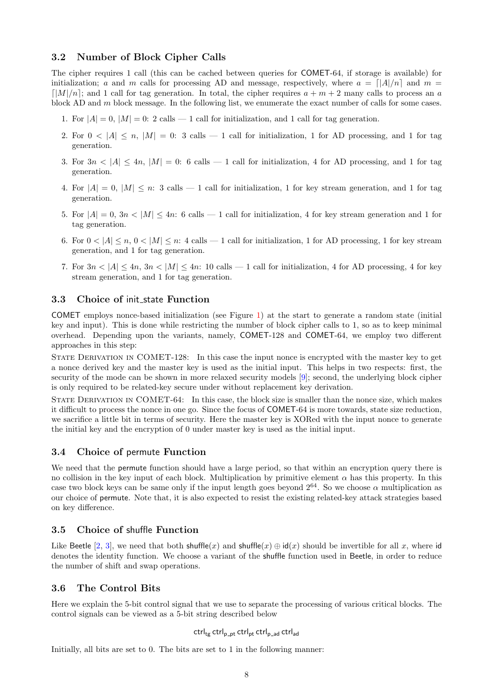### 3.2 Number of Block Cipher Calls

The cipher requires 1 call (this can be cached between queries for COMET-64, if storage is available) for initialization; a and m calls for processing AD and message, respectively, where  $a = \frac{\lfloor A \rfloor}{n}$  and  $m =$  $\lceil |M|/n \rceil$ ; and 1 call for tag generation. In total, the cipher requires  $a + m + 2$  many calls to process an a block AD and m block message. In the following list, we enumerate the exact number of calls for some cases.

- 1. For  $|A| = 0$ ,  $|M| = 0$ : 2 calls 1 call for initialization, and 1 call for tag generation.
- 2. For  $0 < |A| \le n$ ,  $|M| = 0$ : 3 calls  $-1$  call for initialization, 1 for AD processing, and 1 for tag generation.
- 3. For  $3n < |A| < 4n$ ,  $|M| = 0$ : 6 calls 1 call for initialization, 4 for AD processing, and 1 for tag generation.
- 4. For  $|A| = 0$ ,  $|M| \leq n$ : 3 calls  $-1$  call for initialization, 1 for key stream generation, and 1 for tag generation.
- 5. For  $|A| = 0$ ,  $3n < |M| \le 4n$ : 6 calls 1 call for initialization, 4 for key stream generation and 1 for tag generation.
- 6. For  $0 < |A| \le n$ ,  $0 < |M| \le n$ : 4 calls  $-1$  call for initialization, 1 for AD processing, 1 for key stream generation, and 1 for tag generation.
- 7. For  $3n < |A| < 4n$ ,  $3n < |M| < 4n$ : 10 calls 1 call for initialization, 4 for AD processing, 4 for key stream generation, and 1 for tag generation.

### 3.3 Choice of init state Function

COMET employs nonce-based initialization (see Figure 1) at the start to generate a random state (initial key and input). This is done while restricting the number of block cipher calls to 1, so as to keep minimal overhead. Depending upon the variants, namely, COMET-128 and COMET-64, we employ two different approaches in this step:

State Derivation in COMET-128: In this case the [inp](#page-5-0)ut nonce is encrypted with the master key to get a nonce derived key and the master key is used as the initial input. This helps in two respects: first, the security of the mode can be shown in more relaxed security models [9]; second, the underlying block cipher is only required to be related-key secure under without replacement key derivation.

State Derivation in COMET-64: In this case, the block size is smaller than the nonce size, which makes it difficult to process the nonce in one go. Since the focus of COMET-64 is more towards, state size reduction, we sacrifice a little bit in terms of security. Here the master key is X[O](#page-13-6)Red with the input nonce to generate the initial key and the encryption of 0 under master key is used as the initial input.

#### 3.4 Choice of permute Function

We need that the **permute** function should have a large period, so that within an encryption query there is no collision in the key input of each block. Multiplication by primitive element  $\alpha$  has this property. In this case two block keys can be same only if the input length goes beyond  $2^{64}$ . So we choose  $\alpha$  multiplication as our choice of permute. Note that, it is also expected to resist the existing related-key attack strategies based on key difference.

#### 3.5 Choice of shuffle Function

Like Beetle [2, 3], we need that both shuffle(x) and shuffle(x)  $\oplus$  id(x) should be invertible for all x, where id denotes the identity function. We choose a variant of the shuffle function used in Beetle, in order to reduce the number of shift and swap operations.

### 3.6 Th[e](#page-12-0) [Co](#page-13-5)ntrol Bits

Here we explain the 5-bit control signal that we use to separate the processing of various critical blocks. The control signals can be viewed as a 5-bit string described below

### $ctrl_{te}$  ctrl<sub>p\_pt</sub> ctrl<sub>pt</sub> ctrl<sub>p\_ad</sub> ctrl<sub>ad</sub>

Initially, all bits are set to 0. The bits are set to 1 in the following manner: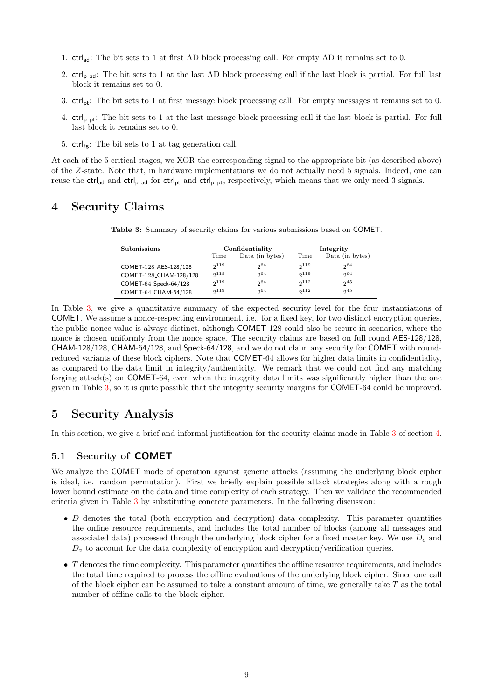- 1. ctrlad: The bit sets to 1 at first AD block processing call. For empty AD it remains set to 0.
- 2.  $\text{ctrl}_{p\_ad}$ : The bit sets to 1 at the last AD block processing call if the last block is partial. For full last block it remains set to 0.
- 3. ctrlpt: The bit sets to 1 at first message block processing call. For empty messages it remains set to 0.
- 4.  $ctrl_{ppt}:$  The bit sets to 1 at the last message block processing call if the last block is partial. For full last block it remains set to 0.
- 5.  $\text{ctrl}_{\text{tg}}$ : The bit sets to 1 at tag generation call.

At each of the 5 critical stages, we XOR the corresponding signal to the appropriate bit (as described above) of the Z-state. Note that, in hardware implementations we do not actually need 5 signals. Indeed, one can reuse the  $\text{ctrl}_{\text{ad}}$  and  $\text{ctrl}_{\text{p\_ad}}$  for  $\text{ctrl}_{\text{p\_pt}}$  and  $\text{ctrl}_{\text{p\_pt}}$ , respectively, which means that we only need 3 signals.

# <span id="page-9-0"></span>4 Security Claims

|  |  |  |  |  |  | <b>Table 3:</b> Summary of security claims for various submissions based on COMET. |  |  |  |  |
|--|--|--|--|--|--|------------------------------------------------------------------------------------|--|--|--|--|
|--|--|--|--|--|--|------------------------------------------------------------------------------------|--|--|--|--|

| Submissions            |           | Confidentiality |           | Integrity       |
|------------------------|-----------|-----------------|-----------|-----------------|
|                        | Time      | Data (in bytes) | Time      | Data (in bytes) |
| COMET-128_AES-128/128  | $2^{119}$ | $2^{64}$        | $2^{119}$ | $2^{64}$        |
| COMET-128_CHAM-128/128 | 2119      | $2^{64}$        | $2^{119}$ | $2^{64}$        |
| COMET-64_Speck-64/128  | $2^{119}$ | $2^{64}$        | $2^{112}$ | $2^{45}$        |
| COMET-64_CHAM-64/128   | 2119      | 2064            | $2^{112}$ | $2^{45}$        |

<span id="page-9-1"></span>In Table 3, we give a quantitative summary of the expected security level for the four instantiations of COMET. We assume a nonce-respecting environment, i.e., for a fixed key, for two distinct encryption queries, the public nonce value is always distinct, although COMET-128 could also be secure in scenarios, where the nonce is chosen uniformly from the nonce space. The security claims are based on full round AES-128/128, CHAM-1[28/](#page-9-1)128, CHAM-64/128, and Speck-64/128, and we do not claim any security for COMET with roundreduced variants of these block ciphers. Note that COMET-64 allows for higher data limits in confidentiality, as compared to the data limit in integrity/authenticity. We remark that we could not find any matching forging attack(s) on COMET-64, even when the integrity data limits was significantly higher than the one given in Table 3, so it is quite possible that the integrity security margins for COMET-64 could be improved.

# 5 Security Analysis

In this section[, w](#page-9-1)e give a brief and informal justification for the security claims made in Table 3 of section 4.

### 5.1 Security of COMET

We analyze the COMET mode of operation against generic attacks (assuming the underlyin[g b](#page-9-1)lock cip[her](#page-9-0) is ideal, i.e. random permutation). First we briefly explain possible attack strategies along with a rough lower bound estimate on the data and time complexity of each strategy. Then we validate the recommended criteria given in Table 3 by substituting concrete parameters. In the following discussion:

- D denotes the total (both encryption and decryption) data complexity. This parameter quantifies the online resource requirements, and includes the total number of blocks (among all messages and associated data) processed through the underlying block cipher for a fixed master key. We use  $D_e$  and  $D<sub>v</sub>$  to account f[or](#page-9-1) the data complexity of encryption and decryption/verification queries.
- $\bullet$  T denotes the time complexity. This parameter quantifies the offline resource requirements, and includes the total time required to process the offline evaluations of the underlying block cipher. Since one call of the block cipher can be assumed to take a constant amount of time, we generally take  $T$  as the total number of offline calls to the block cipher.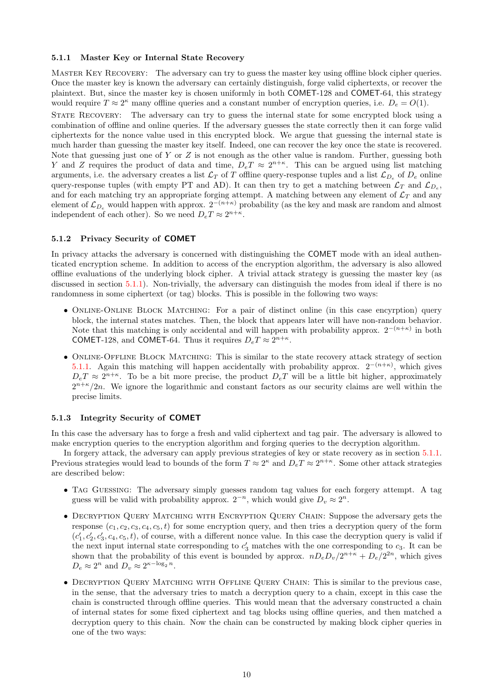#### 5.1.1 Master Key or Internal State Recovery

Master Key Recovery: The adversary can try to guess the master key using offline block cipher queries. Once the master key is known the adversary can certainly distinguish, forge valid ciphertexts, or recover the plaintext. But, since the master key is chosen uniformly in both COMET-128 and COMET-64, this strategy would require  $T \approx 2^{\kappa}$  many offline queries and a constant number of encryption queries, i.e.  $D_e = O(1)$ .

<span id="page-10-0"></span>STATE RECOVERY: The adversary can try to guess the internal state for some encrypted block using a combination of offline and online queries. If the adversary guesses the state correctly then it can forge valid ciphertexts for the nonce value used in this encrypted block. We argue that guessing the internal state is much harder than guessing the master key itself. Indeed, one can recover the key once the state is recovered. Note that guessing just one of Y or Z is not enough as the other value is random. Further, guessing both Y and Z requires the product of data and time,  $D_e T \approx 2^{n+\kappa}$ . This can be argued using list matching arguments, i.e. the adversary creates a list  $\mathcal{L}_T$  of T offline query-response tuples and a list  $\mathcal{L}_{D_e}$  of  $D_e$  online query-response tuples (with empty PT and AD). It can then try to get a matching between  $\mathcal{L}_T$  and  $\mathcal{L}_{D_e}$ , and for each matching try an appropriate forging attempt. A matching between any element of  $\mathcal{L}_T$  and any element of  $\mathcal{L}_{D_e}$  would happen with approx.  $2^{-(n+\kappa)}$  probability (as the key and mask are random and almost independent of each other). So we need  $D_e T \approx 2^{n+\kappa}$ .

#### 5.1.2 Privacy Security of COMET

In privacy attacks the adversary is concerned with distinguishing the COMET mode with an ideal authenticated encryption scheme. In addition to access of the encryption algorithm, the adversary is also allowed offline evaluations of the underlying block cipher. A trivial attack strategy is guessing the master key (as discussed in section 5.1.1). Non-trivially, the adversary can distinguish the modes from ideal if there is no randomness in some ciphertext (or tag) blocks. This is possible in the following two ways:

- ONLINE-ONLINE BLOCK MATCHING: For a pair of distinct online (in this case encyrption) query block, the inte[rnal s](#page-10-0)tates matches. Then, the block that appears later will have non-random behavior. Note that this matching is only accidental and will happen with probability approx.  $2^{-(n+\kappa)}$  in both **COMET-128**, and **COMET-64**. Thus it requires  $D_e T \approx 2^{n+\kappa}$ .
- ONLINE-OFFLINE BLOCK MATCHING: This is similar to the state recovery attack strategy of section 5.1.1. Again this matching will happen accidentally with probability approx.  $2^{-(n+\kappa)}$ , which gives  $D_e T \approx 2^{n+\kappa}$ . To be a bit more precise, the product  $D_e T$  will be a little bit higher, approximately  $2^{n+\kappa}/2n$ . We ignore the logarithmic and constant factors as our security claims are well within the precise limits.

#### 5.1.3 Integrity Security of COMET

In this case the adversary has to forge a fresh and valid ciphertext and tag pair. The adversary is allowed to make encryption queries to the encryption algorithm and forging queries to the decryption algorithm.

<span id="page-10-1"></span>In forgery attack, the adversary can apply previous strategies of key or state recovery as in section 5.1.1. Previous strategies would lead to bounds of the form  $T \approx 2^{\kappa}$  and  $D_e T \approx 2^{n+\kappa}$ . Some other attack strategies are described below:

- Tag Guessing: The adversary simply guesses random tag values for each forgery attempt. A [tag](#page-10-0) guess will be valid with probability approx.  $2^{-n}$ , which would give  $D_v \approx 2^n$ .
- Decryption Query Matching with Encryption Query Chain: Suppose the adversary gets the response  $(c_1, c_2, c_3, c_4, c_5, t)$  for some encryption query, and then tries a decryption query of the form  $(c'_1, c'_2, c'_3, c_4, c_5, t)$ , of course, with a different nonce value. In this case the decryption query is valid if the next input internal state corresponding to  $c'_3$  matches with the one corresponding to  $c_3$ . It can be shown that the probability of this event is bounded by approx.  $nD_eD_v/2^{n+\kappa} + D_e/2^{2n}$ , which gives  $D_e \approx 2^n$  and  $D_v \approx 2^{\kappa - \log_2 n}$ .
- DECRYPTION QUERY MATCHING WITH OFFLINE QUERY CHAIN: This is similar to the previous case, in the sense, that the adversary tries to match a decryption query to a chain, except in this case the chain is constructed through offline queries. This would mean that the adversary constructed a chain of internal states for some fixed ciphertext and tag blocks using offline queries, and then matched a decryption query to this chain. Now the chain can be constructed by making block cipher queries in one of the two ways: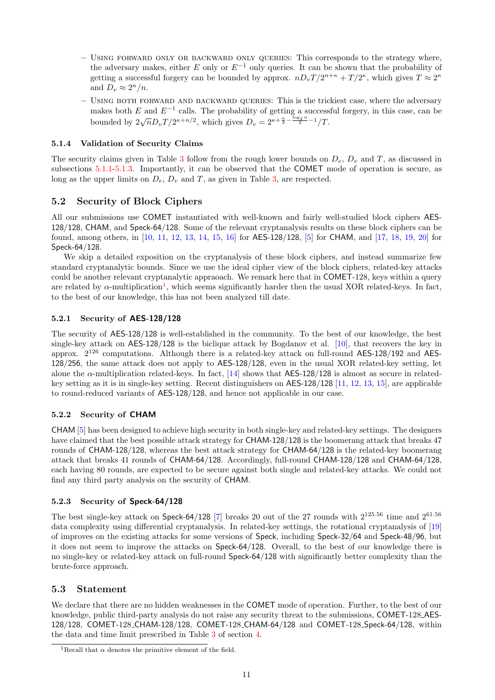- Using forward only or backward only queries: This corresponds to the strategy where, the adversary makes, either E only or  $E^{-1}$  only queries. It can be shown that the probability of getting a successful forgery can be bounded by approx.  $nD_vT/2^{n+\kappa} + T/2^{\kappa}$ , which gives  $T \approx 2^{\kappa}$ and  $D_v \approx 2^n/n$ .
- Using both forward and backward queries: This is the trickiest case, where the adversary makes both E and  $E^{-1}$  calls. The probability of getting a successful forgery, in this case, can be bounded by  $2\sqrt{n}D_vT/2^{\kappa+n/2}$ , which gives  $D_v = 2^{\kappa+\frac{n}{2}-\frac{\log_2 n}{2}-1}/T$ .

### 5.1.4 Validation of Security Claims

The security claims given in Table 3 follow from the rough lower bounds on  $D_e$ ,  $D_v$  and T, as discussed in subsections 5.1.1-5.1.3. Importantly, it can be observed that the COMET mode of operation is secure, as long as the upper limits on  $D_e$ ,  $D_v$  and T, as given in Table 3, are respected.

## 5.2 Security of Block Ci[ph](#page-9-1)ers

All our sub[missi](#page-10-0)[ons us](#page-10-1)e COMET instantiated with well-kn[ow](#page-9-1)n and fairly well-studied block ciphers AES-128/128, CHAM, and Speck-64/128. Some of the relevant cryptanalysis results on these block ciphers can be found, among others, in [10, 11, 12, 13, 14, 15, 16] for AES-128/128, [5] for CHAM, and [17, 18, 19, 20] for Speck-64/128.

We skip a detailed exposition on the cryptanalysis of these block ciphers, and instead summarize few standard cryptanalytic bounds. Since we use the ideal cipher view of the block ciphers, related-key attacks could be another relevant [cry](#page-13-7)[pta](#page-13-8)[naly](#page-13-9)[tic](#page-13-10) [app](#page-13-11)[raoa](#page-13-12)[ch.](#page-13-13) We remark here th[at](#page-13-1) in COMET-128, k[eys](#page-13-14) [wit](#page-13-15)[hin](#page-13-16) [a qu](#page-13-17)ery are related by  $\alpha$ -multiplication<sup>1</sup>, which seems significantly harder then the usual XOR related-keys. In fact, to the best of our knowledge, this has not been analyzed till date.

### 5.2.1 Security of AES-128/128

The security of AES-128/128 [is](#page-0-0) well-established in the community. To the best of our knowledge, the best single-key attack on AES-128/128 is the biclique attack by Bogdanov et al. [10], that recovers the key in approx.  $2^{126}$  computations. Although there is a related-key attack on full-round AES-128/192 and AES-128/256, the same attack does not apply to AES-128/128, even in the usual XOR related-key setting, let alone the  $\alpha$ -multiplication related-keys. In fact, [14] shows that AES-128/128 is almost as secure in relatedkey setting as it is in single-key setting. Recent distinguishers on AES-128/128 [\[11,](#page-13-7) 12, 13, 15], are applicable to round-reduced variants of AES-128/128, and hence not applicable in our case.

#### 5.2.2 Security of CHAM

CHAM [5] has been designed to achieve high security in both single-key and relat[ed-k](#page-13-8)[ey](#page-13-9)[s](#page-13-9)[ett](#page-13-10)i[ngs](#page-13-12). The designers have claimed that the best possible attack strategy for CHAM-128/128 is the boomerang attack that breaks 47 rounds of CHAM-128/128, whereas the best attack strategy for CHAM-64/128 is the related-key boomerang attack that breaks 41 rounds of CHAM-64/128. Accordingly, full-round CHAM-128/128 and CHAM-64/128, each ha[vi](#page-13-1)ng 80 rounds, are expected to be secure against both single and related-key attacks. We could not find any third party analysis on the security of CHAM.

#### 5.2.3 Security of Speck-64/128

The best single-key attack on Speck-64/128 [7] breaks 20 out of the 27 rounds with  $2^{125.56}$  time and  $2^{61.56}$ data complexity using differential cryptanalysis. In related-key settings, the rotational cryptanalysis of [19] of improves on the existing attacks for some versions of Speck, including Speck-32/64 and Speck-48/96, but it does not seem to improve the attacks on Speck-64/128. Overall, to the best of our knowledge there is no single-key or related-key attack on full-ro[un](#page-13-3)d Speck-64/128 with significantly better complexity than the brute-force approach.

### 5.3 Statement

We declare that there are no hidden weaknesses in the COMET mode of operation. Further, to the best of our knowledge, public third-party analysis do not raise any security threat to the submissions, COMET-128 AES-128/128, COMET-128 CHAM-128/128, COMET-128 CHAM-64/128 and COMET-128 Speck-64/128, within the data and time limit prescribed in Table 3 of section 4.

<sup>&</sup>lt;sup>1</sup>Recall that  $\alpha$  denotes the primitive element of the field.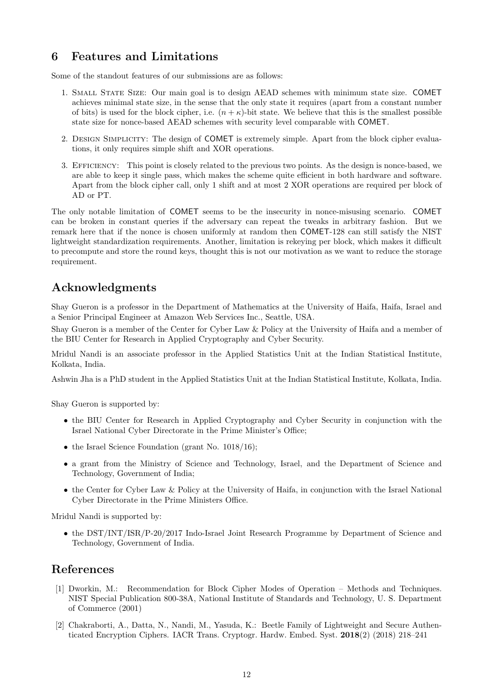# 6 Features and Limitations

Some of the standout features of our submissions are as follows:

- 1. Small State Size: Our main goal is to design AEAD schemes with minimum state size. COMET achieves minimal state size, in the sense that the only state it requires (apart from a constant number of bits) is used for the block cipher, i.e.  $(n + \kappa)$ -bit state. We believe that this is the smallest possible state size for nonce-based AEAD schemes with security level comparable with COMET.
- 2. Design Simplicity: The design of COMET is extremely simple. Apart from the block cipher evaluations, it only requires simple shift and XOR operations.
- 3. Efficiency: This point is closely related to the previous two points. As the design is nonce-based, we are able to keep it single pass, which makes the scheme quite efficient in both hardware and software. Apart from the block cipher call, only 1 shift and at most 2 XOR operations are required per block of AD or PT.

The only notable limitation of COMET seems to be the insecurity in nonce-misusing scenario. COMET can be broken in constant queries if the adversary can repeat the tweaks in arbitrary fashion. But we remark here that if the nonce is chosen uniformly at random then COMET-128 can still satisfy the NIST lightweight standardization requirements. Another, limitation is rekeying per block, which makes it difficult to precompute and store the round keys, thought this is not our motivation as we want to reduce the storage requirement.

# Acknowledgments

Shay Gueron is a professor in the Department of Mathematics at the University of Haifa, Haifa, Israel and a Senior Principal Engineer at Amazon Web Services Inc., Seattle, USA.

Shay Gueron is a member of the Center for Cyber Law & Policy at the University of Haifa and a member of the BIU Center for Research in Applied Cryptography and Cyber Security.

Mridul Nandi is an associate professor in the Applied Statistics Unit at the Indian Statistical Institute, Kolkata, India.

Ashwin Jha is a PhD student in the Applied Statistics Unit at the Indian Statistical Institute, Kolkata, India.

Shay Gueron is supported by:

- the BIU Center for Research in Applied Cryptography and Cyber Security in conjunction with the Israel National Cyber Directorate in the Prime Minister's Office;
- the Israel Science Foundation (grant No. 1018/16);
- a grant from the Ministry of Science and Technology, Israel, and the Department of Science and Technology, Government of India;
- the Center for Cyber Law & Policy at the University of Haifa, in conjunction with the Israel National Cyber Directorate in the Prime Ministers Office.

Mridul Nandi is supported by:

• the DST/INT/ISR/P-20/2017 Indo-Israel Joint Research Programme by Department of Science and Technology, Government of India.

# References

- [1] Dworkin, M.: Recommendation for Block Cipher Modes of Operation Methods and Techniques. NIST Special Publication 800-38A, National Institute of Standards and Technology, U. S. Department of Commerce (2001)
- <span id="page-12-0"></span>[2] Chakraborti, A., Datta, N., Nandi, M., Yasuda, K.: Beetle Family of Lightweight and Secure Authenticated Encryption Ciphers. IACR Trans. Cryptogr. Hardw. Embed. Syst. 2018(2) (2018) 218–241